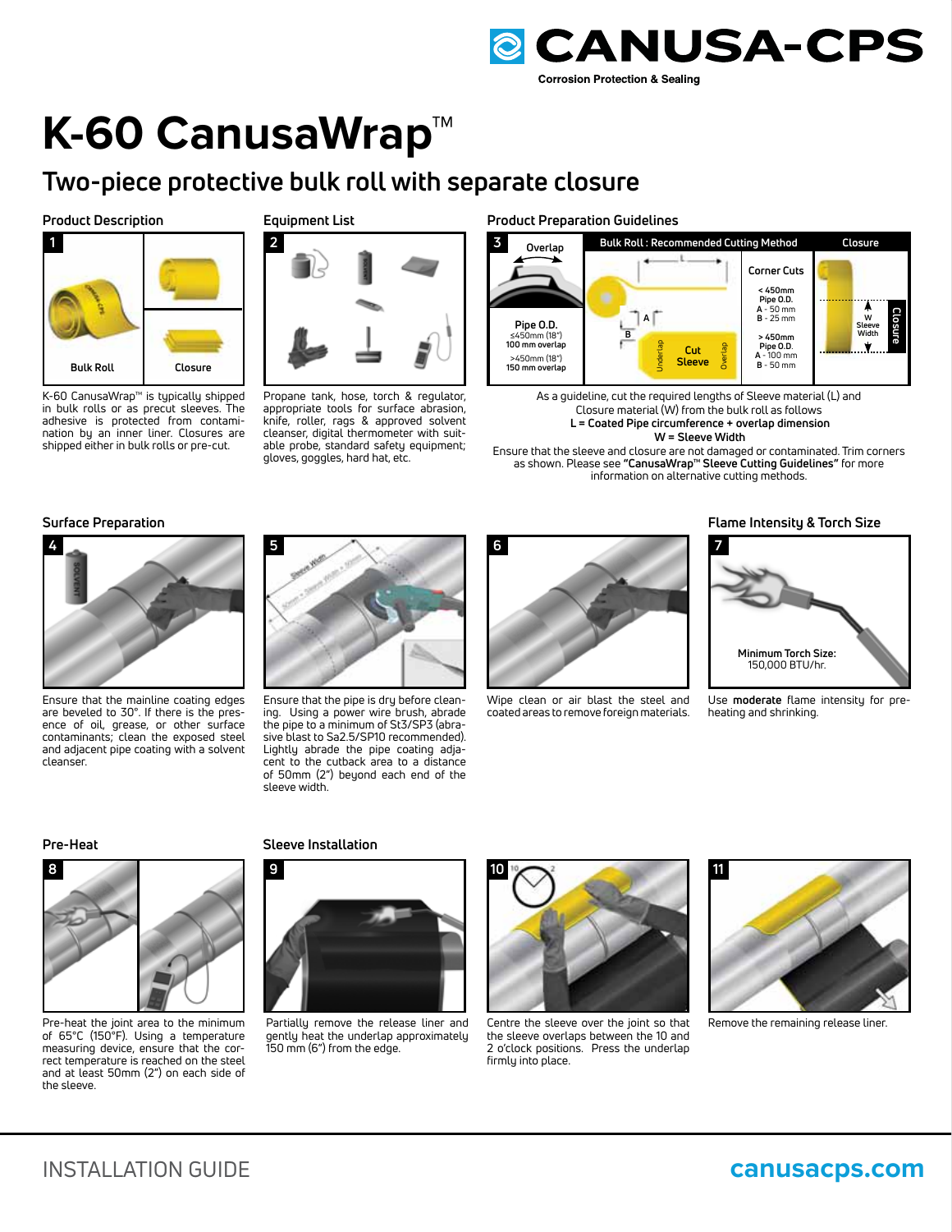

# **K-60 CanusaWrap™**

# **Two-piece protective bulk roll with separate closure**

#### **Product Description**



K-60 CanusaWrap™ is typically shipped in bulk rolls or as precut sleeves. The adhesive is protected from contamination by an inner liner. Closures are shipped either in bulk rolls or pre-cut.

# **Equipment List**



Propane tank, hose, torch & regulator, appropriate tools for surface abrasion, knife, roller, rags & approved solvent cleanser, digital thermometer with suitable probe, standard safety equipment; gloves, goggles, hard hat, etc.

#### **Product Preparation Guidelines**



As a guideline, cut the required lengths of Sleeve material (L) and Closure material (W) from the bulk roll as follows  **L = Coated Pipe circumference + overlap dimension** 

 **W = Sleeve Width**

Ensure that the sleeve and closure are not damaged or contaminated. Trim corners as shown. Please see **"CanusaWrap™ Sleeve Cutting Guidelines"** for more information on alternative cutting methods.

# **Surface Preparation**



Ensure that the mainline coating edges are beveled to 30°. If there is the presence of oil, grease, or other surface contaminants; clean the exposed steel and adjacent pipe coating with a solvent cleanser.



Ensure that the pipe is dry before cleaning. Using a power wire brush, abrade the pipe to a minimum of St3/SP3 (abrasive blast to Sa2.5/SP10 recommended). Lightly abrade the pipe coating adjacent to the cutback area to a distance of 50mm (2") beyond each end of the sleeve width.



Wipe clean or air blast the steel and coated areas to remove foreign materials.

# **Flame Intensity & Torch Size**



Use **moderate** flame intensity for preheating and shrinking.

#### **Pre-Heat**



Pre-heat the joint area to the minimum of 65°C (150°F). Using a temperature measuring device, ensure that the correct temperature is reached on the steel and at least 50mm (2") on each side of the sleeve.

#### **Sleeve Installation**



Partially remove the release liner and gently heat the underlap approximately 150 mm (6") from the edge.



Centre the sleeve over the joint so that the sleeve overlaps between the 10 and 2 o'clock positions. Press the underlap firmly into place.



Remove the remaining release liner.